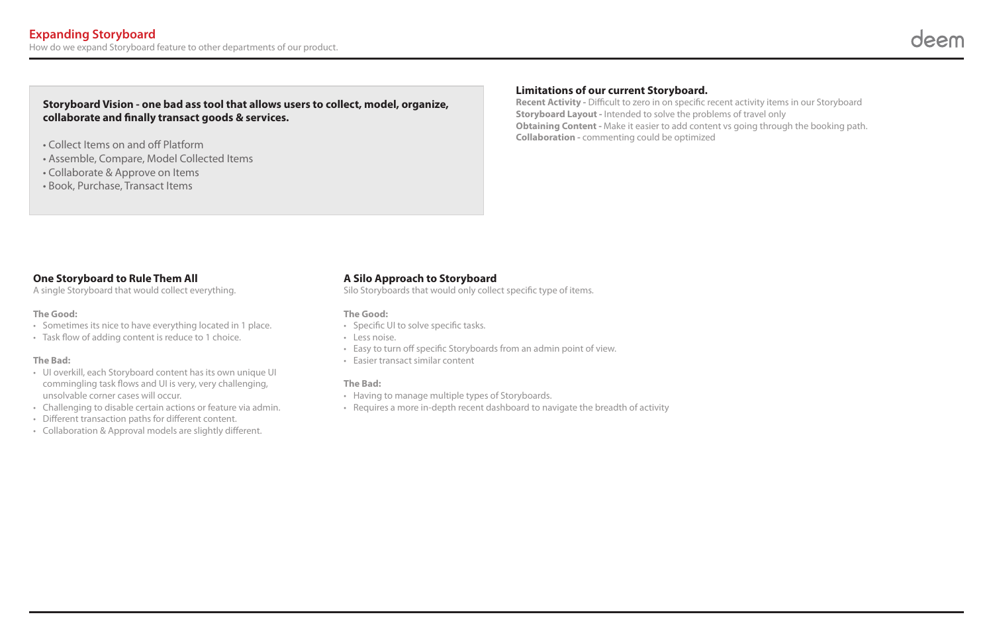#### **Storyboard Vision - one bad ass tool that allows users to collect, model, organize, collaborate and finally transact goods & services.**

- Collect Items on and off Platform
- Assemble, Compare, Model Collected Items
- Collaborate & Approve on Items
- Book, Purchase, Transact Items

#### **A Silo Approach to Storyboard**

Silo Storyboards that would only collect specific type of items.

#### **The Good:**

- Specific UI to solve specific tasks.
- Less noise.
- Easy to turn off specific Storyboards from an admin point of view.
- Easier transact similar content

#### **The Bad:**

- Having to manage multiple types of Storyboards.
- Requires a more in-depth recent dashboard to navigate the breadth of activity
- 
- 
- 

#### **One Storyboard to Rule Them All**

A single Storyboard that would collect everything.

#### **The Good:**

- Sometimes its nice to have everything located in 1 place.
- Task flow of adding content is reduce to 1 choice.

#### **The Bad:**

- UI overkill, each Storyboard content has its own unique UI commingling task flows and UI is very, very challenging, unsolvable corner cases will occur.
- Challenging to disable certain actions or feature via admin.
- Different transaction paths for different content.
- Collaboration & Approval models are slightly different.

### **Limitations of our current Storyboard.**

**Recent Activity -** Difficult to zero in on specific recent activity items in our Storyboard **Storyboard Layout - Intended to solve the problems of travel only Obtaining Content** - Make it easier to add content vs going through the booking path. **Collaboration -** commenting could be optimized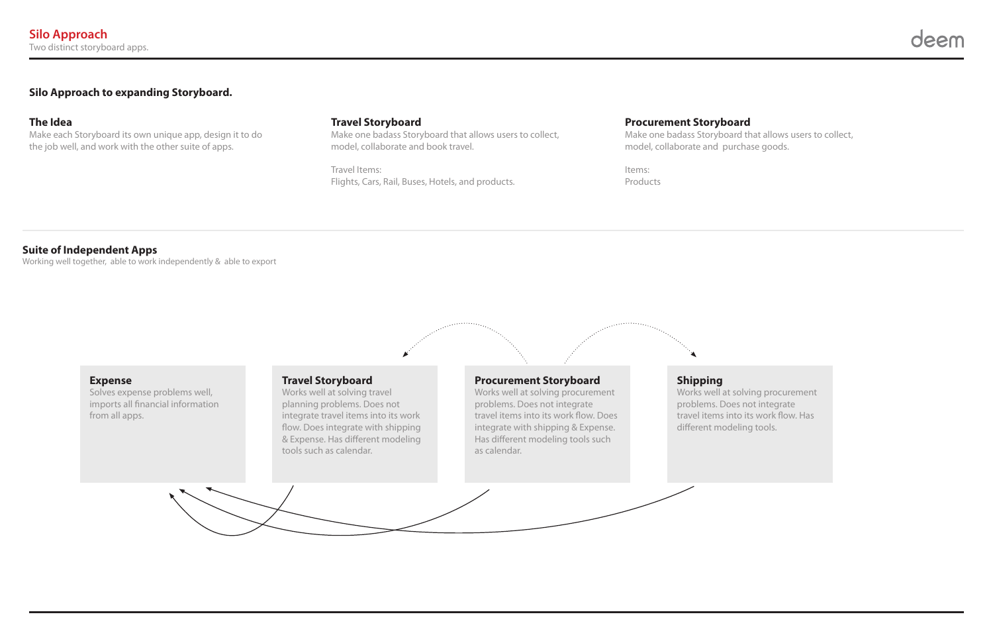#### **Silo Approach to expanding Storyboard.**

#### **Suite of Independent Apps**

Working well together, able to work independently & able to export

#### **Travel Storyboard**

Works well at solving travel planning problems. Does not integrate travel items into its work flow. Does integrate with shipping & Expense. Has different modeling tools such as calendar.



Solves expense problems well, imports all financial information from all apps.

#### **Procurement Storyboard**

Works well at solving procurement problems. Does not integrate travel items into its work flow. Does integrate with shipping & Expense. Has different modeling tools such as calendar.

## **Shipping**

Works well at solving procurement problems. Does not integrate travel items into its work flow. Has

different modeling tools.

#### **Travel Storyboard**

Make one badass Storyboard that allows users to collect, model, collaborate and book travel.

Travel Items: Flights, Cars, Rail, Buses, Hotels, and products.

#### **The Idea**

Make each Storyboard its own unique app, design it to do the job well, and work with the other suite of apps.

#### **Procurement Storyboard**

Make one badass Storyboard that allows users to collect, model, collaborate and purchase goods.

Items: Products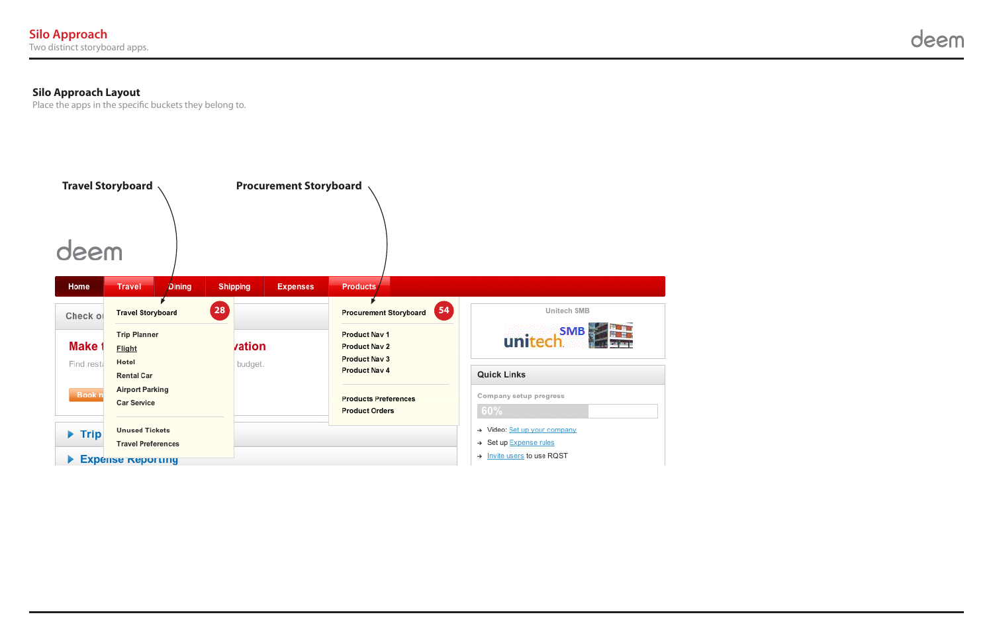#### **Silo Approach Layout**

Place the apps in the specific buckets they belong to.



## deem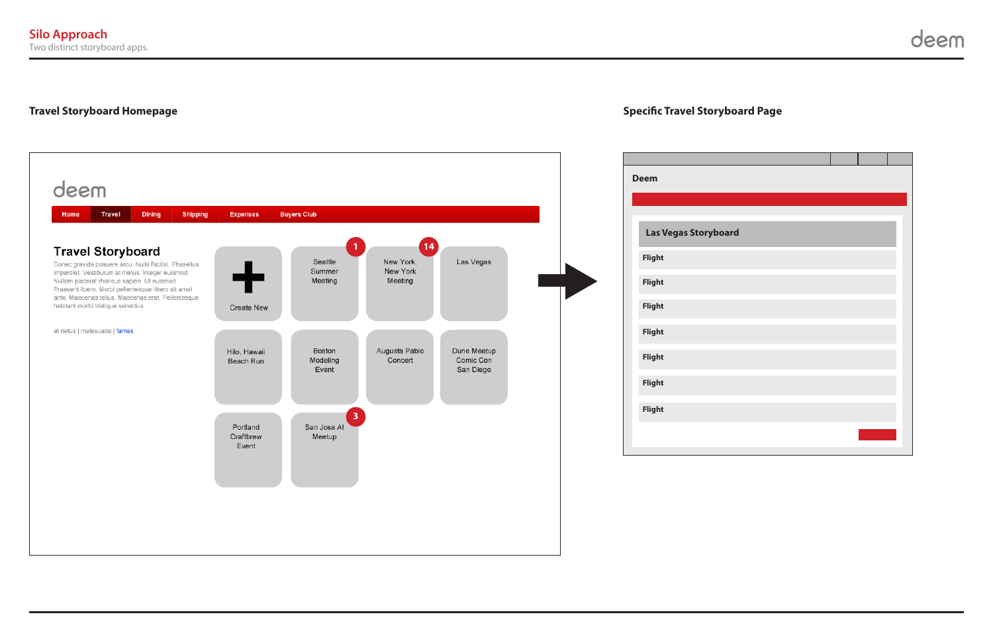### **Travel Storyboard Homepage and Specific Travel Storyboard Page**



| rd |  |  |
|----|--|--|
|    |  |  |
|    |  |  |
|    |  |  |
|    |  |  |
|    |  |  |
|    |  |  |
|    |  |  |
|    |  |  |
|    |  |  |
|    |  |  |
|    |  |  |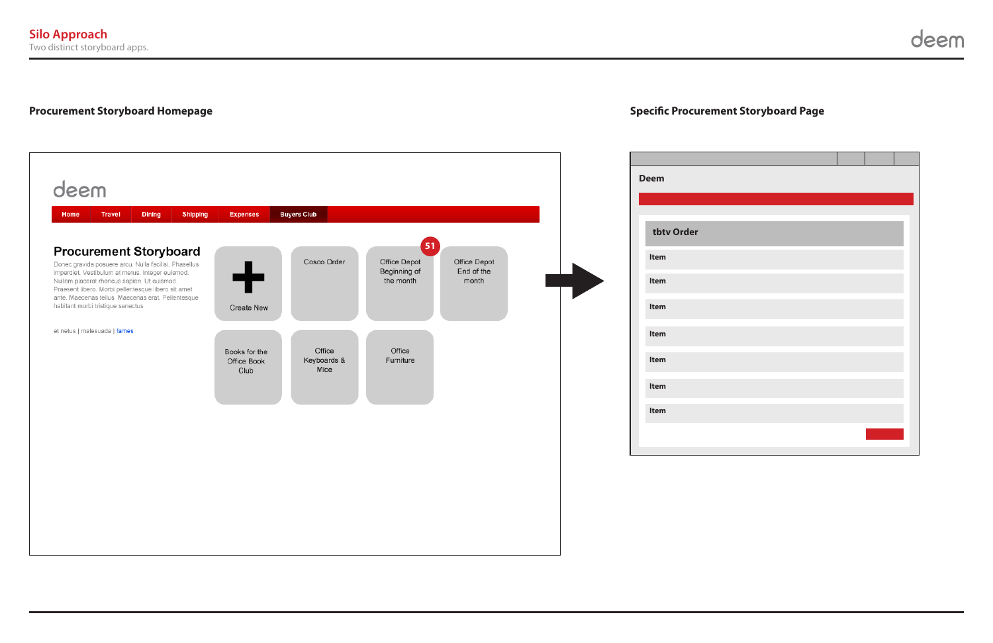## **Specific Procurement Storyboard Page**

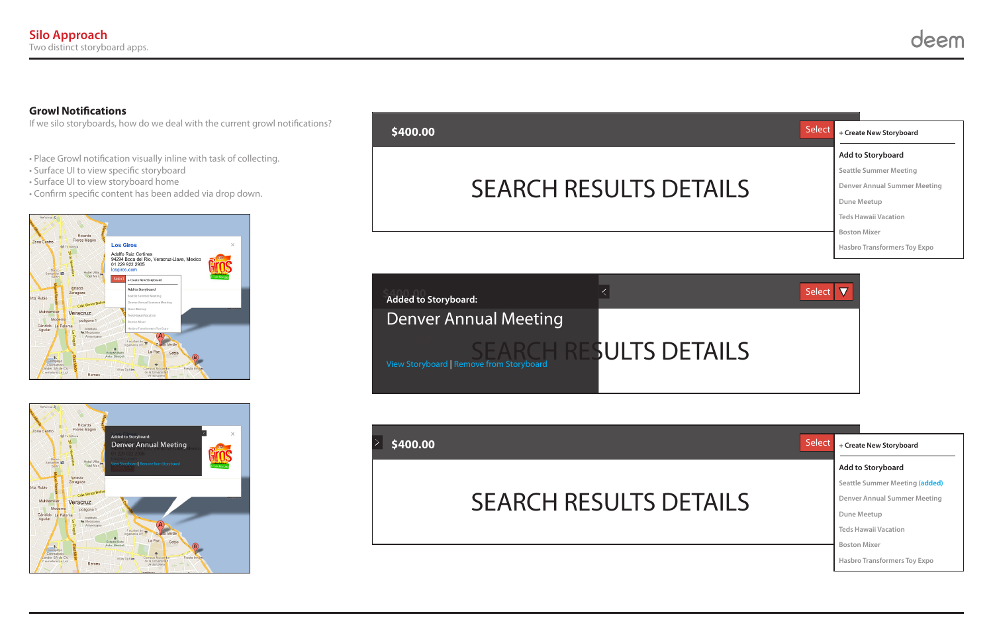### **Growl Notifications**

If we silo storyboards, how do we deal with the current growl notifications?

#### $\vert \rangle \vert$ **\$400.00**

## **SEARCH RESULTS DETAIL**

- Place Growl notification visually inline with task of collecting.
- Surface UI to view specific storyboard
- Surface UI to view storyboard home
- Confirm specific content has been added via drop down.





## **\$400.00**

# **SEARCH RESULTS DETAIL**

|  | Select <sup>1</sup> | + Create New Storyboard             |
|--|---------------------|-------------------------------------|
|  |                     | <b>Add to Storyboard</b>            |
|  |                     | Seattle Summer Meeting (added)      |
|  |                     | <b>Denver Annual Summer Meeting</b> |
|  |                     | Dune Meetup                         |
|  |                     | <b>Teds Hawaii Vacation</b>         |
|  |                     | <b>Boston Mixer</b>                 |
|  |                     | <b>Hasbro Transformers Toy Expo</b> |



| <b>Select</b> | + Create New Storyboard             |  |
|---------------|-------------------------------------|--|
|               | <b>Add to Storyboard</b>            |  |
|               | <b>Seattle Summer Meeting</b>       |  |
|               | <b>Denver Annual Summer Meeting</b> |  |
|               | Dune Meetup                         |  |
|               | <b>Teds Hawaii Vacation</b>         |  |
|               | <b>Boston Mixer</b>                 |  |
|               | <b>Hasbro Transformers Toy Expo</b> |  |